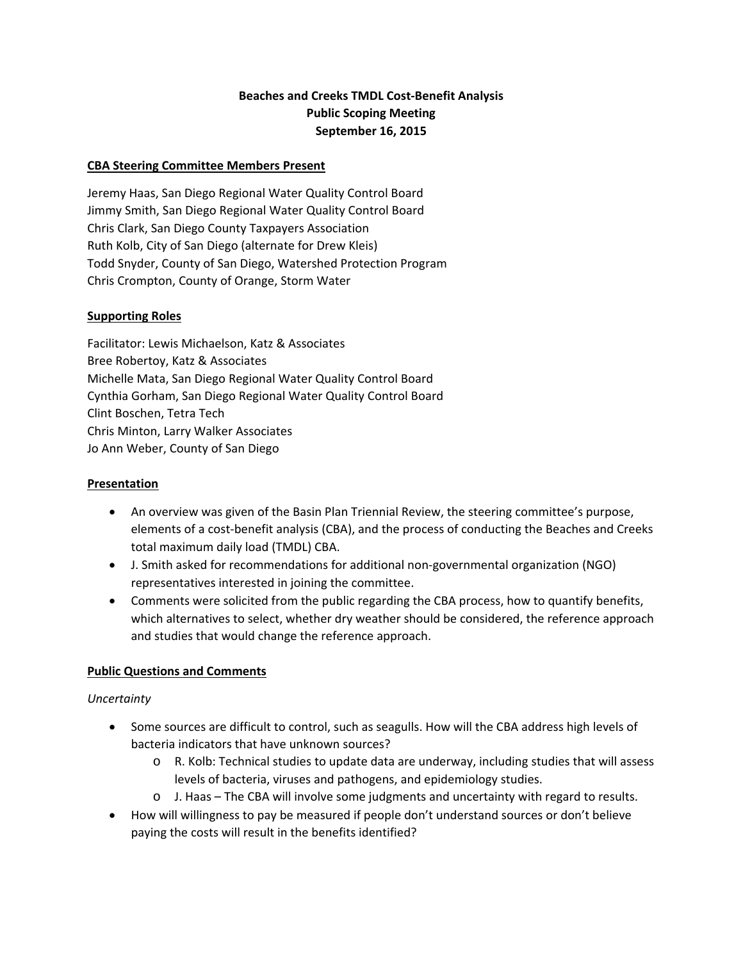# **Beaches and Creeks TMDL Cost‐Benefit Analysis Public Scoping Meeting September 16, 2015**

### **CBA Steering Committee Members Present**

Jeremy Haas, San Diego Regional Water Quality Control Board Jimmy Smith, San Diego Regional Water Quality Control Board Chris Clark, San Diego County Taxpayers Association Ruth Kolb, City of San Diego (alternate for Drew Kleis) Todd Snyder, County of San Diego, Watershed Protection Program Chris Crompton, County of Orange, Storm Water

#### **Supporting Roles**

Facilitator: Lewis Michaelson, Katz & Associates Bree Robertoy, Katz & Associates Michelle Mata, San Diego Regional Water Quality Control Board Cynthia Gorham, San Diego Regional Water Quality Control Board Clint Boschen, Tetra Tech Chris Minton, Larry Walker Associates Jo Ann Weber, County of San Diego

### **Presentation**

- An overview was given of the Basin Plan Triennial Review, the steering committee's purpose, elements of a cost-benefit analysis (CBA), and the process of conducting the Beaches and Creeks total maximum daily load (TMDL) CBA.
- J. Smith asked for recommendations for additional non-governmental organization (NGO) representatives interested in joining the committee.
- Comments were solicited from the public regarding the CBA process, how to quantify benefits, which alternatives to select, whether dry weather should be considered, the reference approach and studies that would change the reference approach.

#### **Public Questions and Comments**

#### *Uncertainty*

- Some sources are difficult to control, such as seagulls. How will the CBA address high levels of bacteria indicators that have unknown sources?
	- o R. Kolb: Technical studies to update data are underway, including studies that will assess levels of bacteria, viruses and pathogens, and epidemiology studies.
	- o J. Haas The CBA will involve some judgments and uncertainty with regard to results.
- How will willingness to pay be measured if people don't understand sources or don't believe paying the costs will result in the benefits identified?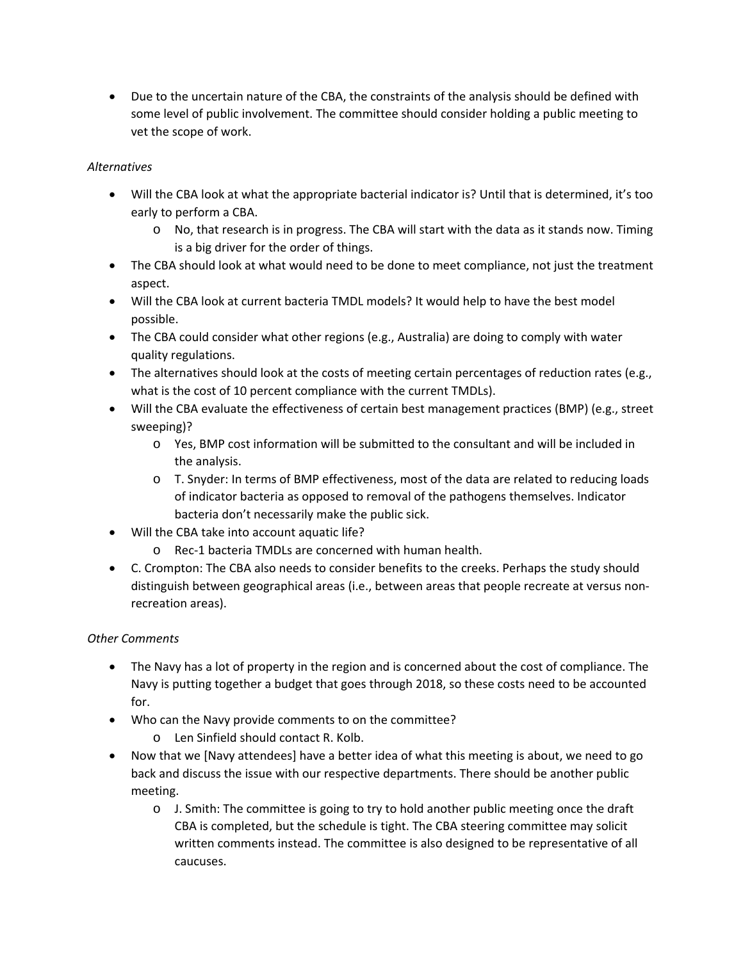Due to the uncertain nature of the CBA, the constraints of the analysis should be defined with some level of public involvement. The committee should consider holding a public meeting to vet the scope of work.

### *Alternatives*

- Will the CBA look at what the appropriate bacterial indicator is? Until that is determined, it's too early to perform a CBA.
	- o No, that research is in progress. The CBA will start with the data as it stands now. Timing is a big driver for the order of things.
- The CBA should look at what would need to be done to meet compliance, not just the treatment aspect.
- Will the CBA look at current bacteria TMDL models? It would help to have the best model possible.
- The CBA could consider what other regions (e.g., Australia) are doing to comply with water quality regulations.
- The alternatives should look at the costs of meeting certain percentages of reduction rates (e.g., what is the cost of 10 percent compliance with the current TMDLs).
- Will the CBA evaluate the effectiveness of certain best management practices (BMP) (e.g., street sweeping)?
	- o Yes, BMP cost information will be submitted to the consultant and will be included in the analysis.
	- o T. Snyder: In terms of BMP effectiveness, most of the data are related to reducing loads of indicator bacteria as opposed to removal of the pathogens themselves. Indicator bacteria don't necessarily make the public sick.
- Will the CBA take into account aquatic life?
	- o Rec‐1 bacteria TMDLs are concerned with human health.
- C. Crompton: The CBA also needs to consider benefits to the creeks. Perhaps the study should distinguish between geographical areas (i.e., between areas that people recreate at versus non‐ recreation areas).

# *Other Comments*

- The Navy has a lot of property in the region and is concerned about the cost of compliance. The Navy is putting together a budget that goes through 2018, so these costs need to be accounted for.
- Who can the Navy provide comments to on the committee?
	- o Len Sinfield should contact R. Kolb.
- Now that we [Navy attendees] have a better idea of what this meeting is about, we need to go back and discuss the issue with our respective departments. There should be another public meeting.
	- $\circ$  J. Smith: The committee is going to try to hold another public meeting once the draft CBA is completed, but the schedule is tight. The CBA steering committee may solicit written comments instead. The committee is also designed to be representative of all caucuses.